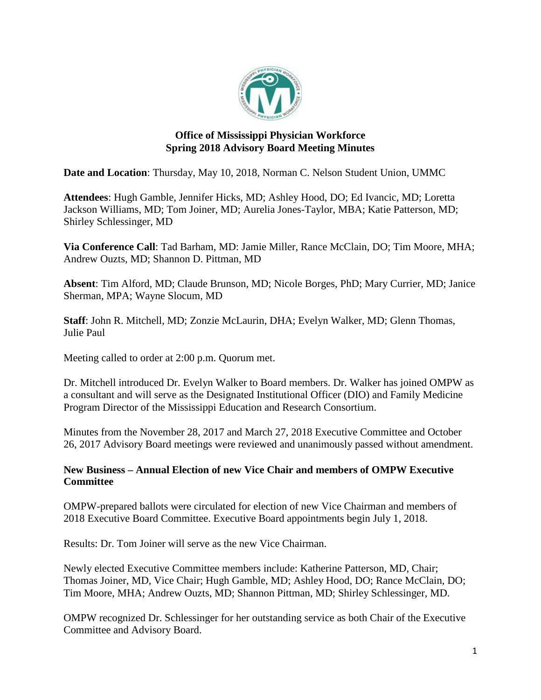

# **Office of Mississippi Physician Workforce Spring 2018 Advisory Board Meeting Minutes**

**Date and Location**: Thursday, May 10, 2018, Norman C. Nelson Student Union, UMMC

**Attendees**: Hugh Gamble, Jennifer Hicks, MD; Ashley Hood, DO; Ed Ivancic, MD; Loretta Jackson Williams, MD; Tom Joiner, MD; Aurelia Jones-Taylor, MBA; Katie Patterson, MD; Shirley Schlessinger, MD

**Via Conference Call**: Tad Barham, MD: Jamie Miller, Rance McClain, DO; Tim Moore, MHA; Andrew Ouzts, MD; Shannon D. Pittman, MD

**Absent**: Tim Alford, MD; Claude Brunson, MD; Nicole Borges, PhD; Mary Currier, MD; Janice Sherman, MPA; Wayne Slocum, MD

**Staff**: John R. Mitchell, MD; Zonzie McLaurin, DHA; Evelyn Walker, MD; Glenn Thomas, Julie Paul

Meeting called to order at 2:00 p.m. Quorum met.

Dr. Mitchell introduced Dr. Evelyn Walker to Board members. Dr. Walker has joined OMPW as a consultant and will serve as the Designated Institutional Officer (DIO) and Family Medicine Program Director of the Mississippi Education and Research Consortium.

Minutes from the November 28, 2017 and March 27, 2018 Executive Committee and October 26, 2017 Advisory Board meetings were reviewed and unanimously passed without amendment.

## **New Business – Annual Election of new Vice Chair and members of OMPW Executive Committee**

OMPW-prepared ballots were circulated for election of new Vice Chairman and members of 2018 Executive Board Committee. Executive Board appointments begin July 1, 2018.

Results: Dr. Tom Joiner will serve as the new Vice Chairman.

Newly elected Executive Committee members include: Katherine Patterson, MD, Chair; Thomas Joiner, MD, Vice Chair; Hugh Gamble, MD; Ashley Hood, DO; Rance McClain, DO; Tim Moore, MHA; Andrew Ouzts, MD; Shannon Pittman, MD; Shirley Schlessinger, MD.

OMPW recognized Dr. Schlessinger for her outstanding service as both Chair of the Executive Committee and Advisory Board.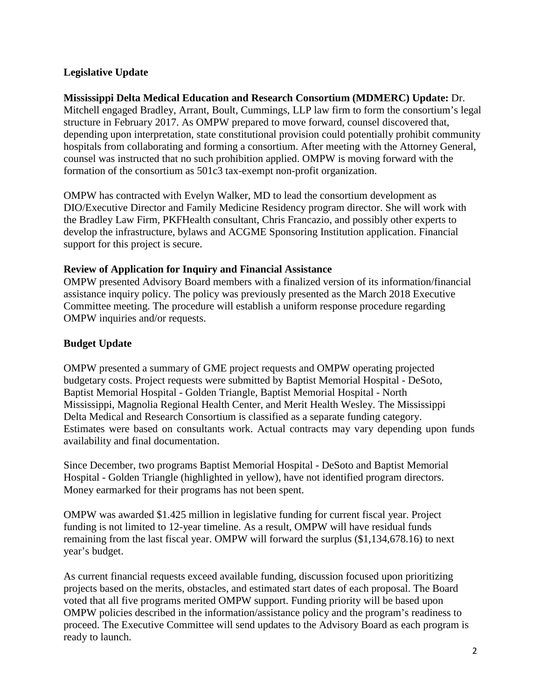# **Legislative Update**

**Mississippi Delta Medical Education and Research Consortium (MDMERC) Update:** Dr. Mitchell engaged Bradley, Arrant, Boult, Cummings, LLP law firm to form the consortium's legal structure in February 2017. As OMPW prepared to move forward, counsel discovered that, depending upon interpretation, state constitutional provision could potentially prohibit community hospitals from collaborating and forming a consortium. After meeting with the Attorney General, counsel was instructed that no such prohibition applied. OMPW is moving forward with the formation of the consortium as 501c3 tax-exempt non-profit organization.

OMPW has contracted with Evelyn Walker, MD to lead the consortium development as DIO/Executive Director and Family Medicine Residency program director. She will work with the Bradley Law Firm, PKFHealth consultant, Chris Francazio, and possibly other experts to develop the infrastructure, bylaws and ACGME Sponsoring Institution application. Financial support for this project is secure.

### **Review of Application for Inquiry and Financial Assistance**

OMPW presented Advisory Board members with a finalized version of its information/financial assistance inquiry policy. The policy was previously presented as the March 2018 Executive Committee meeting. The procedure will establish a uniform response procedure regarding OMPW inquiries and/or requests.

## **Budget Update**

OMPW presented a summary of GME project requests and OMPW operating projected budgetary costs. Project requests were submitted by Baptist Memorial Hospital - DeSoto, Baptist Memorial Hospital - Golden Triangle, Baptist Memorial Hospital - North Mississippi, Magnolia Regional Health Center, and Merit Health Wesley. The Mississippi Delta Medical and Research Consortium is classified as a separate funding category. Estimates were based on consultants work. Actual contracts may vary depending upon funds availability and final documentation.

Since December, two programs Baptist Memorial Hospital - DeSoto and Baptist Memorial Hospital - Golden Triangle (highlighted in yellow), have not identified program directors. Money earmarked for their programs has not been spent.

OMPW was awarded \$1.425 million in legislative funding for current fiscal year. Project funding is not limited to 12-year timeline. As a result, OMPW will have residual funds remaining from the last fiscal year. OMPW will forward the surplus (\$1,134,678.16) to next year's budget.

As current financial requests exceed available funding, discussion focused upon prioritizing projects based on the merits, obstacles, and estimated start dates of each proposal. The Board voted that all five programs merited OMPW support. Funding priority will be based upon OMPW policies described in the information/assistance policy and the program's readiness to proceed. The Executive Committee will send updates to the Advisory Board as each program is ready to launch.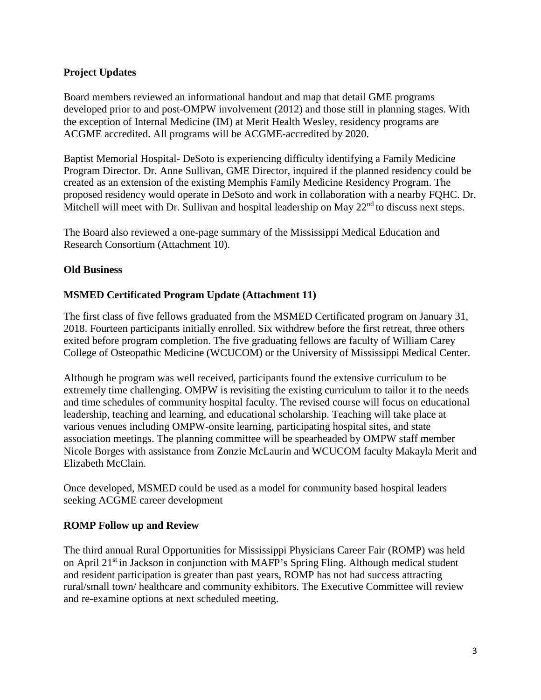# **Project Updates**

Board members reviewed an informational handout and map that detail GME programs developed prior to and post-OMPW involvement (2012) and those still in planning stages. With the exception of Internal Medicine (IM) at Merit Health Wesley, residency programs are ACGME accredited. All programs will be ACGME-accredited by 2020.

Baptist Memorial Hospital- DeSoto is experiencing difficulty identifying a Family Medicine Program Director. Dr. Anne Sullivan, GME Director, inquired if the planned residency could be created as an extension of the existing Memphis Family Medicine Residency Program. The proposed residency would operate in DeSoto and work in collaboration with a nearby FQHC. Dr. Mitchell will meet with Dr. Sullivan and hospital leadership on May  $22<sup>nd</sup>$  to discuss next steps.

The Board also reviewed a one-page summary of the Mississippi Medical Education and Research Consortium (Attachment 10).

### **Old Business**

### **MSMED Certificated Program Update (Attachment 11)**

The first class of five fellows graduated from the MSMED Certificated program on January 31, 2018. Fourteen participants initially enrolled. Six withdrew before the first retreat, three others exited before program completion. The five graduating fellows are faculty of William Carey College of Osteopathic Medicine (WCUCOM) or the University of Mississippi Medical Center.

Although he program was well received, participants found the extensive curriculum to be extremely time challenging. OMPW is revisiting the existing curriculum to tailor it to the needs and time schedules of community hospital faculty. The revised course will focus on educational leadership, teaching and learning, and educational scholarship. Teaching will take place at various venues including OMPW-onsite learning, participating hospital sites, and state association meetings. The planning committee will be spearheaded by OMPW staff member Nicole Borges with assistance from Zonzie McLaurin and WCUCOM faculty Makayla Merit and Elizabeth McClain.

Once developed, MSMED could be used as a model for community based hospital leaders seeking ACGME career development

#### **ROMP Follow up and Review**

The third annual Rural Opportunities for Mississippi Physicians Career Fair (ROMP) was held on April 21<sup>st</sup> in Jackson in conjunction with MAFP's Spring Fling. Although medical student and resident participation is greater than past years, ROMP has not had success attracting rural/small town/ healthcare and community exhibitors. The Executive Committee will review and re-examine options at next scheduled meeting.